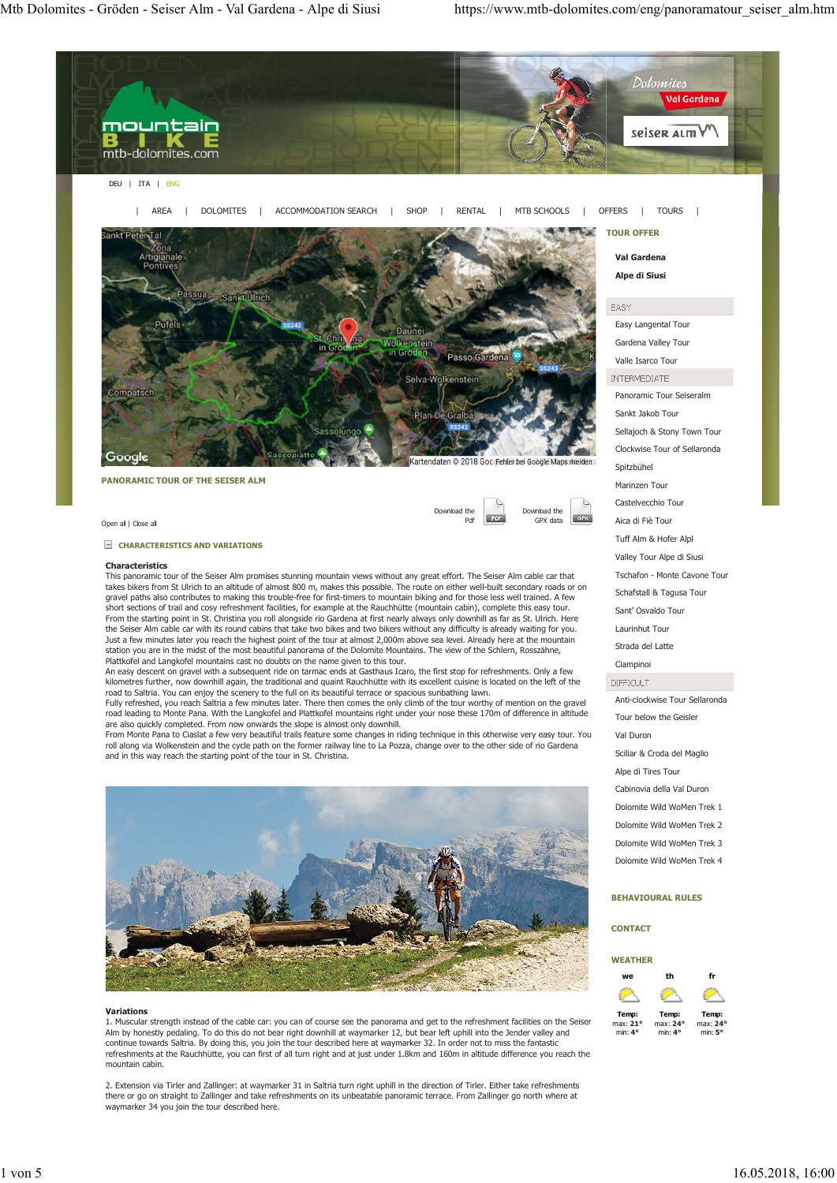

### **BEHAVIOURAL RULES**

#### **CONTACT**

#### **WEATHER we th fr Temp:** max: **21°** min: **4° Temp:** max: **24°** min: **4° Temp:** max: **24°** min: **5°**

#### **Variations**

1. Muscular strength instead of the cable car: you can of course see the panorama and get to the refreshment facilities on the Seiser Alm by honestly pedaling. To do this do not bear right downhill at waymarker 12, but bear left uphill into the Jender valley and continue towards Saltria. By doing this, you join the tour described here at waymarker 32. In order not to miss the fantastic refreshments at the Rauchhütte, you can first of all turn right and at just under 1.8km and 160m in altitude difference you reach the mountain cabin.

2. Extension via Tirler and Zallinger: at waymarker 31 in Saltria turn right uphill in the direction of Tirler. Either take refreshments there or go on straight to Zallinger and take refreshments on its unbeatable panoramic terrace. From Zallinger go north where at waymarker 34 you join the tour described here.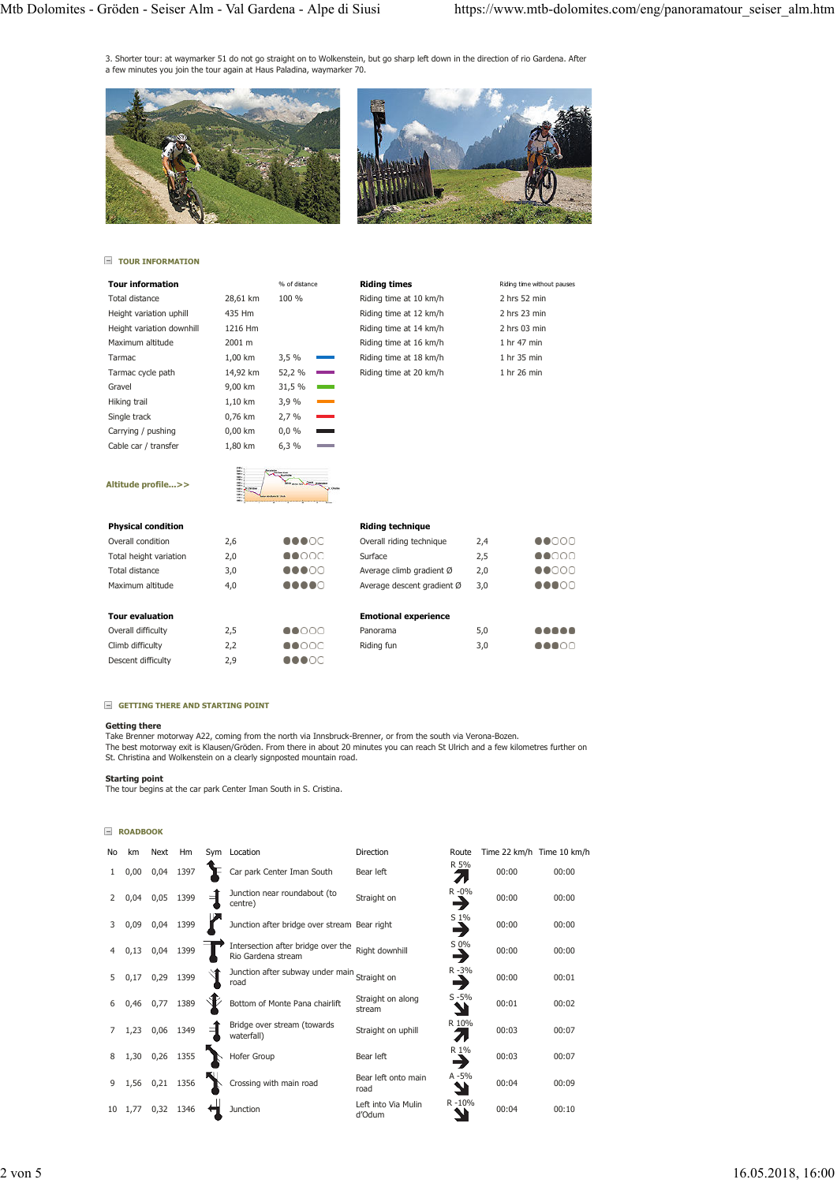3. Shorter tour: at waymarker 51 do not go straight on to Wolkenstein, but go sharp left down in the direction of rio Gardena. After a few minutes you join the tour again at Haus Paladina, waymarker 70.





## **TOUR INFORMATION**

| <b>Tour information</b>   |          | % of distance |  |
|---------------------------|----------|---------------|--|
| Total distance            | 28.61 km | 100%          |  |
| Height variation uphill   | 435 Hm   |               |  |
| Height variation downhill | 1216 Hm  |               |  |
| Maximum altitude          | 2001 m   |               |  |
| <b>Tarmac</b>             | 1.00 km  | 3,5%          |  |
| Tarmac cycle path         | 14,92 km | 52,2 %        |  |
| Gravel                    | 9,00 km  | 31,5 %        |  |
| Hiking trail              | 1,10 km  | 3,9 %         |  |
| Single track              | 0.76 km  | 2,7%          |  |
| Carrying / pushing        | 0,00 km  | 0,0%          |  |
| Cable car / transfer      | 1,80 km  | 6,3%          |  |
|                           |          |               |  |

| Riding times           | Riding time without pauses |
|------------------------|----------------------------|
| Riding time at 10 km/h | 2 hrs 52 min               |
| Riding time at 12 km/h | 2 hrs 23 min               |
| Riding time at 14 km/h | $2$ hrs 03 min             |
| Riding time at 16 km/h | 1 hr 47 min                |
| Riding time at 18 km/h | 1 hr 35 min                |
| Riding time at 20 km/h | 1 hr 26 min                |
|                        |                            |
|                        |                            |
|                        |                            |

# **Altitude profile...>>**

| u.                     |  |
|------------------------|--|
|                        |  |
| ---<br>---<br>---<br>٠ |  |

### **Riding technique**

| <b>Physical condition</b> |     |               | <b>Riding technique</b>     |     |                            |
|---------------------------|-----|---------------|-----------------------------|-----|----------------------------|
| Overall condition         | 2,6 | 00000         | Overall riding technique    | 2,4 | $\bullet$ 0000             |
| Total height variation    | 2,0 | $\bullet$ 000 | Surface                     | 2,5 | $\bullet$ 0000             |
| Total distance            | 3,0 | 00000         | Average climb gradient Ø    | 2,0 | $\bullet$ 0000             |
| Maximum altitude          | 4,0 |               | Average descent gradient Ø  | 3,0 | 00000                      |
| <b>Tour evaluation</b>    |     |               | <b>Emotional experience</b> |     |                            |
| Overall difficulty        | 2,5 | $\bullet$ 000 | Panorama                    | 5,0 |                            |
| Climb difficulty          | 2,2 | 00000         | Riding fun                  | 3,0 | $\bullet\bullet\circ\circ$ |
| Descent difficulty        | 2,9 | 00000         |                             |     |                            |

#### **GETTING THERE AND STARTING POINT**

#### **Getting there**

Take Brenner motorway A22, coming from the north via Innsbruck-Brenner, or from the south via Verona-Bozen.<br>The best motorway exit is Klausen/Gröden. From there in about 20 minutes you can reach St Ulrich and a few kilomet

**Starting point** The tour begins at the car park Center Iman South in S. Cristina.

#### **ROADBOOK**

| No | km              | Next           | Hm   | Sym Location                                                            | Direction                     | Route          | Time 22 km/h Time 10 km/h |       |
|----|-----------------|----------------|------|-------------------------------------------------------------------------|-------------------------------|----------------|---------------------------|-------|
|    | 0,00            | 0,04           | 1397 | Car park Center Iman South                                              | Bear left                     | R 5%<br>71     | 00:00                     | 00:00 |
|    | 0,04            | 0,05           | 1399 | Junction near roundabout (to<br>centre)                                 | Straight on                   | $R - 0\%$<br>3 | 00:00                     | 00:00 |
| 3  | 0,09            | 0,04 1399      |      | Junction after bridge over stream Bear right                            |                               | S 1%           | 00:00                     | 00:00 |
|    | 0,13            | 0,04           | 1399 | Intersection after bridge over the Right downhill<br>Rio Gardena stream |                               | S 0%<br>→      | 00:00                     | 00:00 |
| 5  | 0,17            | 0,29           | 1399 | Junction after subway under main Straight on<br>road                    |                               | $R - 3%$       | 00:00                     | 00:01 |
|    | 0,46            | 0,77           | 1389 | Bottom of Monte Pana chairlift                                          | Straight on along<br>stream   | $S - 5%$       | 00:01                     | 00:02 |
|    | 1,23            | 0,06           | 1349 | Bridge over stream (towards<br>waterfall)                               | Straight on uphill            | R 10%          | 00:03                     | 00:07 |
|    |                 | 1,30 0,26 1355 |      | Hofer Group                                                             | Bear left                     | R 1%           | 00:03                     | 00:07 |
| 9  |                 | 1,56 0,21 1356 |      | Crossing with main road                                                 | Bear left onto main<br>road   | $A - 5%$       | 00:04                     | 00:09 |
|    | $10 \quad 1,77$ | 0,32           | 1346 | Junction                                                                | Left into Via Mulin<br>d'Odum | R-10%          | 00:04                     | 00:10 |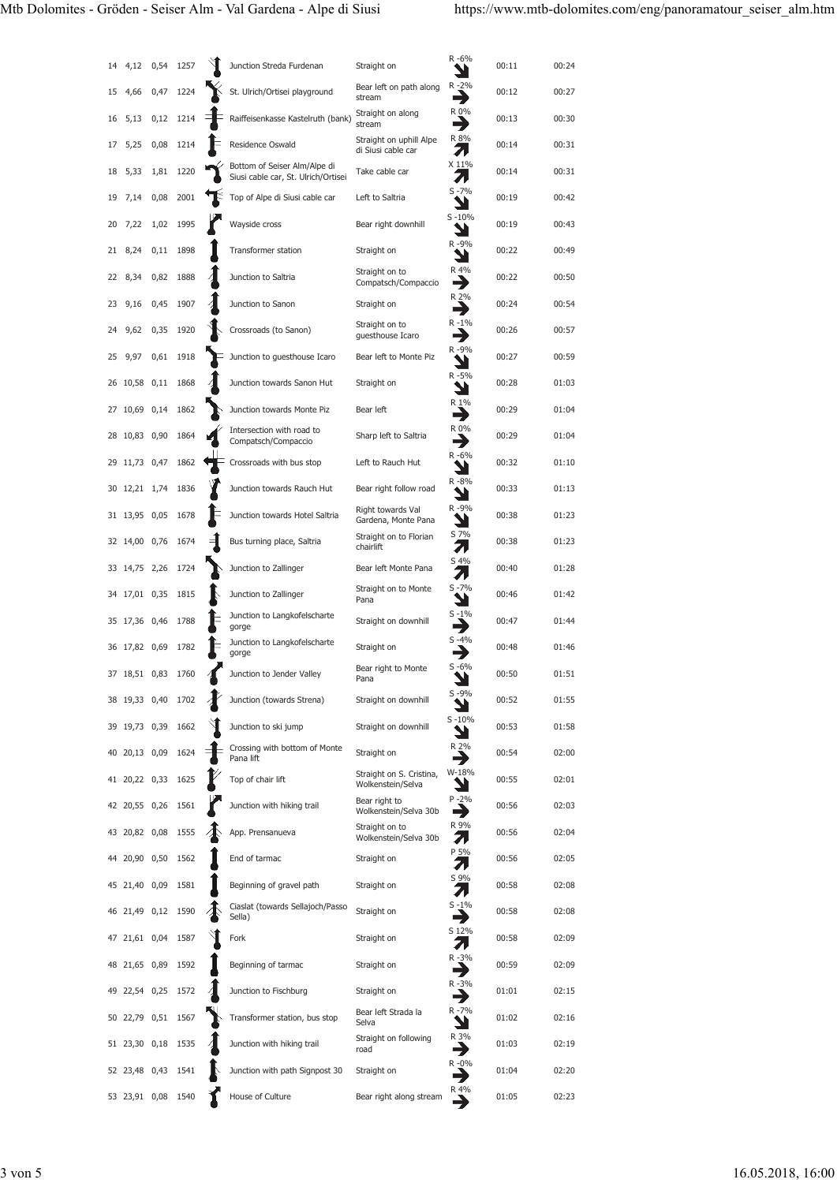| 14 | 4,12               | 0,54 | 1257 | Junction Streda Furdenan                                            | Straight on                                   | R-6%          | 00:11 | 00:24 |
|----|--------------------|------|------|---------------------------------------------------------------------|-----------------------------------------------|---------------|-------|-------|
| 15 | 4,66               | 0,47 | 1224 | St. Ulrich/Ortisei playground                                       | Bear left on path along<br>stream             | R-2%<br>→     | 00:12 | 00:27 |
| 16 | 5,13               | 0,12 | 1214 | Raiffeisenkasse Kastelruth (bank)                                   | Straight on along<br>stream                   | R 0%          | 00:13 | 00:30 |
| 17 | 5,25               | 0,08 | 1214 | Residence Oswald                                                    | Straight on uphill Alpe<br>di Siusi cable car | R 8%<br>71    | 00:14 | 00:31 |
| 18 | 5,33               | 1,81 | 1220 | Bottom of Seiser Alm/Alpe di<br>Siusi cable car, St. Ulrich/Ortisei | Take cable car                                | X 11%<br>71   | 00:14 | 00:31 |
| 19 | 7,14               | 0,08 | 2001 | Top of Alpe di Siusi cable car                                      | Left to Saltria                               | $S - 7%$      | 00:19 | 00:42 |
| 20 | 7,22               | 1,02 | 1995 | Wayside cross                                                       | Bear right downhill                           | $S - 10%$     | 00:19 | 00:43 |
| 21 | 8,24               | 0,11 | 1898 | Transformer station                                                 | Straight on                                   | R-9%          | 00:22 | 00:49 |
| 22 | 8,34               | 0,82 | 1888 | Junction to Saltria                                                 | Straight on to<br>Compatsch/Compaccio         | R 4%<br>⊣     | 00:22 | 00:50 |
| 23 | 9,16               | 0,45 | 1907 | Junction to Sanon                                                   | Straight on                                   | R 2%          | 00:24 | 00:54 |
| 24 | 9,62               | 0,35 | 1920 | Crossroads (to Sanon)                                               | Straight on to<br>guesthouse Icaro            | R-1%          | 00:26 | 00:57 |
| 25 | 9,97               | 0,61 | 1918 | Junction to guesthouse Icaro                                        | Bear left to Monte Piz                        | R-9%          | 00:27 | 00:59 |
|    | 26 10,58 0,11      |      | 1868 | Junction towards Sanon Hut                                          | Straight on                                   | R-5%          | 00:28 | 01:03 |
| 27 | 10,69 0,14         |      | 1862 | Junction towards Monte Piz                                          | Bear left                                     | R 1%<br>→     | 00:29 | 01:04 |
| 28 | 10,83 0,90         |      | 1864 | Intersection with road to<br>Compatsch/Compaccio                    | Sharp left to Saltria                         | R 0%<br>→     | 00:29 | 01:04 |
|    | 29 11,73 0,47      |      | 1862 | Crossroads with bus stop                                            | Left to Rauch Hut                             | R-6%<br>v     | 00:32 | 01:10 |
|    | 30 12,21 1,74      |      | 1836 | Junction towards Rauch Hut                                          | Bear right follow road                        | R-8%          | 00:33 | 01:13 |
|    | 31 13,95           | 0,05 | 1678 | Junction towards Hotel Saltria                                      | Right towards Val<br>Gardena, Monte Pana      | R-9%          | 00:38 | 01:23 |
|    | 32 14,00 0,76      |      | 1674 | Bus turning place, Saltria                                          | Straight on to Florian<br>chairlift           | S 7%<br>71    | 00:38 | 01:23 |
|    | 33 14,75 2,26      |      | 1724 | Junction to Zallinger                                               | Bear left Monte Pana                          | S 4%<br>л     | 00:40 | 01:28 |
|    | 34 17,01 0,35      |      | 1815 | Junction to Zallinger                                               | Straight on to Monte<br>Pana                  | $S - 7%$      | 00:46 | 01:42 |
|    | 35 17,36 0,46      |      | 1788 | Junction to Langkofelscharte<br>gorge                               | Straight on downhill                          | $S - 1%$      | 00:47 | 01:44 |
|    | 36 17,82 0,69      |      | 1782 | Junction to Langkofelscharte<br>gorge                               | Straight on                                   | $S - 4%$      | 00:48 | 01:46 |
|    | 37 18,51 0,83      |      | 1760 | Junction to Jender Valley                                           | Bear right to Monte<br>Pana                   | $S - 6%$      | 00:50 | 01:51 |
|    | 38 19,33 0,40      |      | 1702 | Junction (towards Strena)                                           | Straight on downhill                          | $S - 9%$      | 00:52 | 01:55 |
|    | 39 19,73 0,39      |      | 1662 | Junction to ski jump                                                | Straight on downhill                          | $S - 10%$     | 00:53 | 01:58 |
| 40 | 20,13 0,09         |      | 1624 | Crossing with bottom of Monte<br>Pana lift                          | Straight on                                   | R 2%          | 00:54 | 02:00 |
|    | 41 20,22 0,33      |      | 1625 | Top of chair lift                                                   | Straight on S. Cristina,<br>Wolkenstein/Selva | W-18%         | 00:55 | 02:01 |
|    | 42 20,55 0,26      |      | 1561 | Junction with hiking trail                                          | Bear right to<br>Wolkenstein/Selva 30b        | $P - 2%$<br>→ | 00:56 | 02:03 |
|    | 43 20,82 0,08 1555 |      |      | App. Prensanueva                                                    | Straight on to<br>Wolkenstein/Selva 30b       | R 9%<br>71    | 00:56 | 02:04 |
|    | 44 20,90 0,50      |      | 1562 | End of tarmac                                                       | Straight on                                   | P 5%<br>л     | 00:56 | 02:05 |
|    | 45 21,40 0,09      |      | 1581 | Beginning of gravel path                                            | Straight on                                   | S 9%<br>71    | 00:58 | 02:08 |
|    | 46 21,49 0,12      |      | 1590 | Ciaslat (towards Sellajoch/Passo<br>Sella)                          | Straight on                                   | $S - 1%$<br>→ | 00:58 | 02:08 |
|    | 47 21,61 0,04      |      | 1587 | Fork                                                                | Straight on                                   | S 12%<br>71   | 00:58 | 02:09 |
|    | 48 21,65 0,89      |      | 1592 | Beginning of tarmac                                                 | Straight on                                   | R-3%<br>→     | 00:59 | 02:09 |
| 49 | 22,54 0,25         |      | 1572 | Junction to Fischburg                                               | Straight on                                   | R-3%<br>→     | 01:01 | 02:15 |
|    | 50 22,79 0,51      |      | 1567 | Transformer station, bus stop                                       | Bear left Strada la<br>Selva                  | R-7%          | 01:02 | 02:16 |
|    | 51 23,30 0,18      |      | 1535 | Junction with hiking trail                                          | Straight on following<br>road                 | R 3%          | 01:03 | 02:19 |
|    | 52 23,48 0,43      |      | 1541 | Junction with path Signpost 30                                      | Straight on                                   | R -0%         | 01:04 | 02:20 |
|    | 53 23,91 0,08      |      | 1540 | House of Culture                                                    | Bear right along stream                       |               | 01:05 | 02:23 |
|    |                    |      |      |                                                                     |                                               |               |       |       |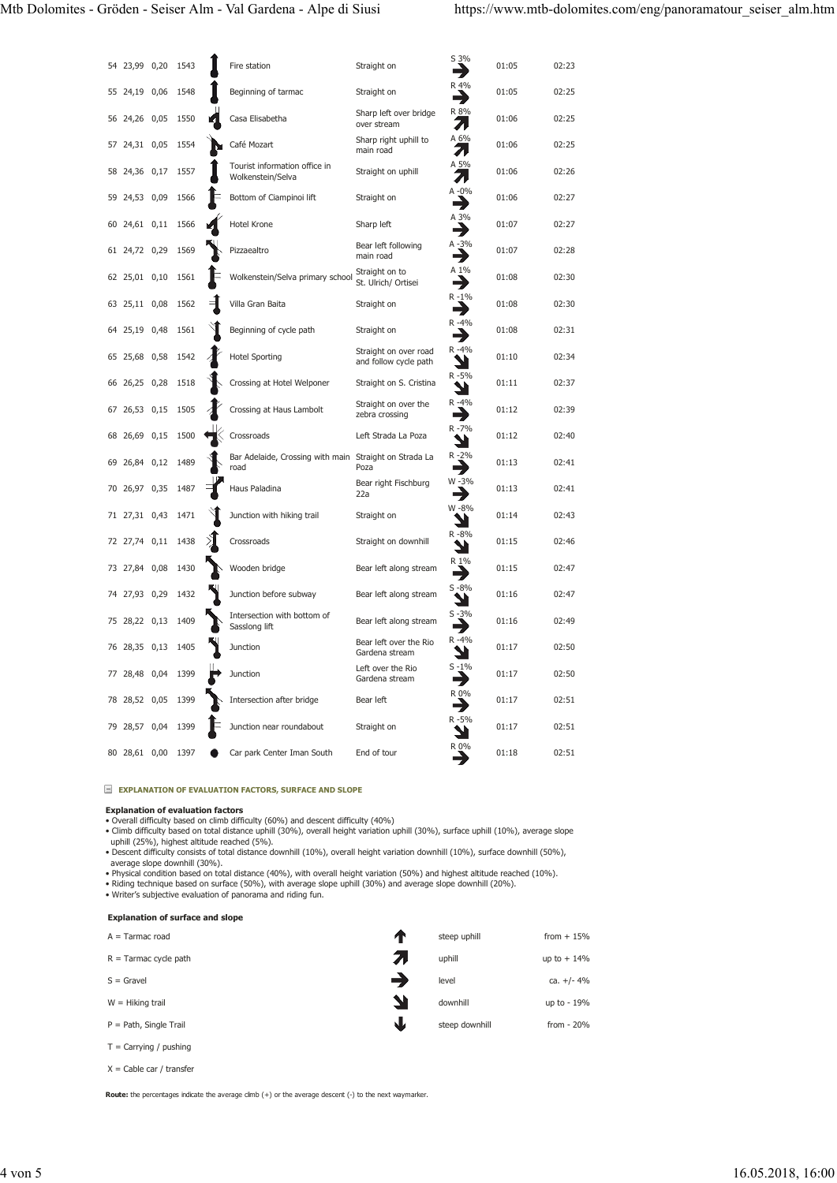|    | 54 23,99 0,20 |      | 1543 | Fire station                                                   | Straight on                                    | S 3%<br>→     | 01:05 | 02:23 |
|----|---------------|------|------|----------------------------------------------------------------|------------------------------------------------|---------------|-------|-------|
|    | 55 24,19 0,06 |      | 1548 | Beginning of tarmac                                            | Straight on                                    | R 4%          | 01:05 | 02:25 |
|    | 56 24,26 0,05 |      | 1550 | Casa Elisabetha                                                | Sharp left over bridge<br>over stream          | R 8%<br>71    | 01:06 | 02:25 |
|    | 57 24,31 0,05 |      | 1554 | Café Mozart                                                    | Sharp right uphill to<br>main road             | A 6%<br>71    | 01:06 | 02:25 |
|    | 58 24,36 0,17 |      | 1557 | Tourist information office in<br>Wolkenstein/Selva             | Straight on uphill                             | A 5%<br>71    | 01:06 | 02:26 |
| 59 | 24,53 0,09    |      | 1566 | Bottom of Ciampinoi lift                                       | Straight on                                    | A-0%<br>→     | 01:06 | 02:27 |
|    | 60 24,61 0,11 |      | 1566 | Hotel Krone                                                    | Sharp left                                     | A 3%          | 01:07 | 02:27 |
|    | 61 24,72 0,29 |      | 1569 | Pizzaealtro                                                    | Bear left following<br>main road               | A-3%<br>→     | 01:07 | 02:28 |
|    | 62 25,01 0,10 |      | 1561 | Wolkenstein/Selva primary school                               | Straight on to<br>St. Ulrich/ Ortisei          | A 1%          | 01:08 | 02:30 |
|    | 63 25,11 0,08 |      | 1562 | Villa Gran Baita                                               | Straight on                                    | R-1%          | 01:08 | 02:30 |
|    | 64 25,19 0,48 |      | 1561 | Beginning of cycle path                                        | Straight on                                    | R-4%<br>E)    | 01:08 | 02:31 |
|    | 65 25,68 0,58 |      | 1542 | <b>Hotel Sporting</b>                                          | Straight on over road<br>and follow cycle path | R-4%          | 01:10 | 02:34 |
|    | 66 26,25 0,28 |      | 1518 | Crossing at Hotel Welponer                                     | Straight on S. Cristina                        | R-5%<br>Ч     | 01:11 | 02:37 |
|    | 67 26,53 0,15 |      | 1505 | Crossing at Haus Lambolt                                       | Straight on over the<br>zebra crossing         | R-4%<br>→     | 01:12 | 02:39 |
|    | 68 26,69 0,15 |      | 1500 | Crossroads                                                     | Left Strada La Poza                            | R-7%<br>ע     | 01:12 | 02:40 |
| 69 | 26,84 0,12    |      | 1489 | Bar Adelaide, Crossing with main Straight on Strada La<br>road | Poza                                           | R-2%<br>┪     | 01:13 | 02:41 |
|    | 70 26,97 0,35 |      | 1487 | Haus Paladina                                                  | Bear right Fischburg<br>22a                    | W-3%          | 01:13 | 02:41 |
|    | 71 27,31 0,43 |      | 1471 | Junction with hiking trail                                     | Straight on                                    | W-8%<br>ע     | 01:14 | 02:43 |
|    | 72 27,74 0,11 |      | 1438 | Crossroads                                                     | Straight on downhill                           | R-8%          | 01:15 | 02:46 |
|    | 73 27,84 0,08 |      | 1430 | Wooden bridge                                                  | Bear left along stream                         | R 1%<br>٣J    | 01:15 | 02:47 |
|    | 74 27,93 0,29 |      | 1432 | Junction before subway                                         | Bear left along stream                         | $S - 8%$      | 01:16 | 02:47 |
|    | 75 28,22 0,13 |      | 1409 | Intersection with bottom of<br>Sasslong lift                   | Bear left along stream                         | $S - 3%$<br>€ | 01:16 | 02:49 |
|    | 76 28,35 0,13 |      | 1405 | Junction                                                       | Bear left over the Rio<br>Gardena stream       | R-4%<br>ىد    | 01:17 | 02:50 |
| 77 | 28,48 0,04    |      | 1399 | Junction                                                       | Left over the Rio<br>Gardena stream            | $S - 1%$<br>⊣ | 01:17 | 02:50 |
| 78 | 28,52 0,05    |      | 1399 | Intersection after bridge                                      | Bear left                                      | R 0%          | 01:17 | 02:51 |
| 79 | 28,57         | 0,04 | 1399 | Junction near roundabout                                       | Straight on                                    | R-5%          | 01:17 | 02:51 |
|    | 80 28,61 0,00 |      | 1397 | Car park Center Iman South                                     | End of tour                                    | R 0%          | 01:18 | 02:51 |

**E** EXPLANATION OF EVALUATION FACTORS, SURFACE AND SLOPE

**Explanation of evaluation factors** • Overall difficulty based on climb difficulty (60%) and descent difficulty (40%)

• Climb difficulty based on total distance uphill (30%), overall height variation uphill (30%), surface uphill (10%), average slope<br>uphill (25%), highest altitude reached (5%).<br>• Descent difficulty consists of total distan

average slope downhill (30%).<br>• Physical condition based on total distance (40%), with overall height variation (50%) and highest altitude reached (10%).<br>• Riding technique based on surface (50%), with average slope uphill

| <b>Explanation of surface and slope</b> |  |  |
|-----------------------------------------|--|--|
|                                         |  |  |

| $A = Tarmac road$         | T  | steep uphill   | from $+15%$   |
|---------------------------|----|----------------|---------------|
| $R =$ Tarmac cycle path   |    | uphill         | up to $+14%$  |
| $S =$ Gravel              | -1 | level          | ca. $+/- 4\%$ |
| $W = Hiking trail$        | ↘  | downhill       | up to - 19%   |
| $P = Path$ , Single Trail | J  | steep downhill | from $-20%$   |
| $T =$ Carrying / pushing  |    |                |               |

 $X =$  Cable car / transfer

**Route:** the percentages indicate the average climb (+) or the average descent (-) to the next waymarker.